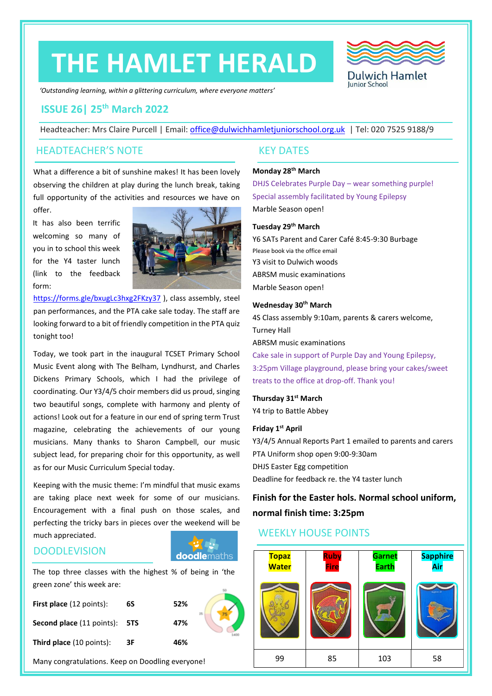# **THE HAMLET HERALD**



*'Outstanding learning, within a glittering curriculum, where everyone matters'*

# **ISSUE 26| 25th March 2022**

Headteacher: Mrs Claire Purcell | Email: [office@dulwichhamletjuniorschool.org.uk](mailto:office@dulwichhamletjuniorschool.org.uk) | Tel: 020 7525 9188/9

#### HEADTEACHER'S NOTE KEY DATES

What a difference a bit of sunshine makes! It has been lovely observing the children at play during the lunch break, taking full opportunity of the activities and resources we have on

It has also been terrific welcoming so many of you in to school this week for the Y4 taster lunch (link to the feedback form:

offer.



<https://forms.gle/bxugLc3hxg2FKzy37> ), class assembly, steel pan performances, and the PTA cake sale today. The staff are looking forward to a bit of friendly competition in the PTA quiz tonight too!

Today, we took part in the inaugural TCSET Primary School Music Event along with The Belham, Lyndhurst, and Charles Dickens Primary Schools, which I had the privilege of coordinating. Our Y3/4/5 choir members did us proud, singing two beautiful songs, complete with harmony and plenty of actions! Look out for a feature in our end of spring term Trust magazine, celebrating the achievements of our young musicians. Many thanks to Sharon Campbell, our music subject lead, for preparing choir for this opportunity, as well as for our Music Curriculum Special today.

Keeping with the music theme: I'm mindful that music exams are taking place next week for some of our musicians. Encouragement with a final push on those scales, and perfecting the tricky bars in pieces over the weekend will be much appreciated.

# **DOODLEVISION**

The top three classes with the highest % of being in 'the green zone' this week are:

**doodle**maths

| <b>First place</b> (12 points): | 6S | 52% |  |
|---------------------------------|----|-----|--|
| Second place (11 points): 5TS   |    | 47% |  |
| <b>Third place</b> (10 points): | 3F | 46% |  |

Many congratulations. Keep on Doodling everyone!

#### **Monday 28th March**

DHJS Celebrates Purple Day – wear something purple! Special assembly facilitated by Young Epilepsy Marble Season open!

#### **Tuesday 29th March**

Y6 SATs Parent and Carer Café 8:45-9:30 Burbage Please book via the office email Y3 visit to Dulwich woods ABRSM music examinations Marble Season open!

#### **Wednesday 30th March**

4S Class assembly 9:10am, parents & carers welcome, Turney Hall ABRSM music examinations

Cake sale in support of Purple Day and Young Epilepsy, 3:25pm Village playground, please bring your cakes/sweet treats to the office at drop-off. Thank you!

#### **Thursday 31st March**

Y4 trip to Battle Abbey

#### **Friday 1st April**

Y3/4/5 Annual Reports Part 1 emailed to parents and carers PTA Uniform shop open 9:00-9:30am DHJS Easter Egg competition Deadline for feedback re. the Y4 taster lunch

**Finish for the Easter hols. Normal school uniform, normal finish time: 3:25pm**

# WEEKLY HOUSE POINTS

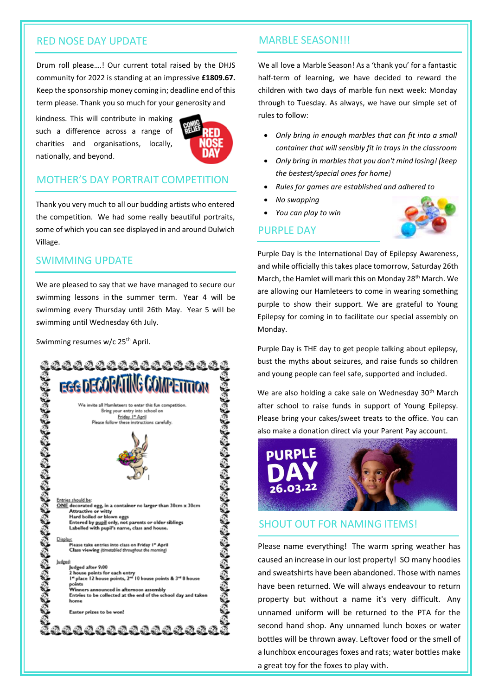#### RED NOSE DAY UPDATE

Drum roll please….! Our current total raised by the DHJS community for 2022 is standing at an impressive **£1809.67.** Keep the sponsorship money coming in; deadline end of this term please. Thank you so much for your generosity and

kindness. This will contribute in making such a difference across a range of charities and organisations, locally, nationally, and beyond.



# MOTHER'S DAY PORTRAIT COMPETITION

Thank you very much to all our budding artists who entered the competition. We had some really beautiful portraits, some of which you can see displayed in and around Dulwich Village.

# SWIMMING UPDATE

We are pleased to say that we have managed to secure our swimming lessons in the summer term. Year 4 will be swimming every Thursday until 26th May. Year 5 will be swimming until Wednesday 6th July.

Swimming resumes w/c 25<sup>th</sup> April.



#### MARBLE SEASON!!!

We all love a Marble Season! As a 'thank you' for a fantastic half-term of learning, we have decided to reward the children with two days of marble fun next week: Monday through to Tuesday. As always, we have our simple set of rules to follow:

- *Only bring in enough marbles that can fit into a small container that will sensibly fit in trays in the classroom*
- *Only bring in marbles that you don't mind losing! (keep the bestest/special ones for home)*
- *Rules for games are established and adhered to*
- *No swapping*
- *You can play to win*

# PURPLE DAY



Purple Day is the International Day of Epilepsy Awareness, and while officially this takes place tomorrow, Saturday 26th March, the Hamlet will mark this on Monday 28<sup>th</sup> March. We are allowing our Hamleteers to come in wearing something purple to show their support. We are grateful to Young Epilepsy for coming in to facilitate our special assembly on Monday.

Purple Day is THE day to get people talking about epilepsy, bust the myths about seizures, and raise funds so children and young people can feel safe, supported and included.

We are also holding a cake sale on Wednesday 30<sup>th</sup> March after school to raise funds in support of Young Epilepsy. Please bring your cakes/sweet treats to the office. You can also make a donation direct via your Parent Pay account.



#### SHOUT OUT FOR NAMING ITEMS!

Please name everything! The warm spring weather has caused an increase in our lost property! SO many hoodies and sweatshirts have been abandoned. Those with names have been returned. We will always endeavour to return property but without a name it's very difficult. Any unnamed uniform will be returned to the PTA for the second hand shop. Any unnamed lunch boxes or water bottles will be thrown away. Leftover food or the smell of a lunchbox encourages foxes and rats; water bottles make a great toy for the foxes to play with.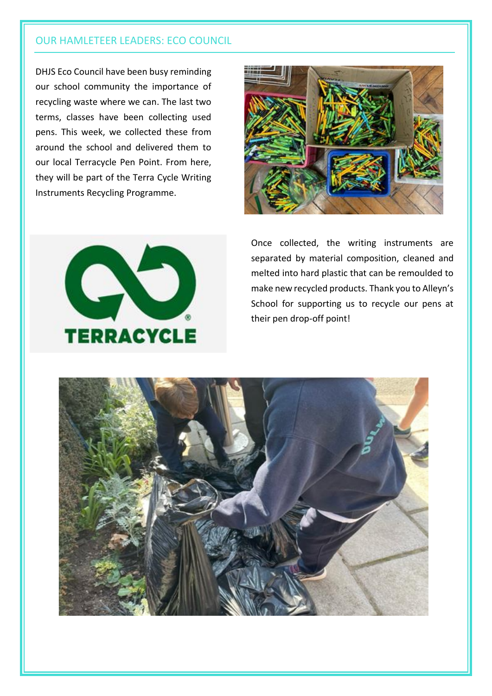# OUR HAMLETEER LEADERS: ECO COUNCIL

DHJS Eco Council have been busy reminding our school community the importance of recycling waste where we can. The last two terms, classes have been collecting used pens. This week, we collected these from around the school and delivered them to our local Terracycle Pen Point. From here, they will be part of the Terra Cycle Writing Instruments Recycling Programme.





Once collected, the writing instruments are separated by material composition, cleaned and melted into hard plastic that can be remoulded to make new recycled products. Thank you to Alleyn's School for supporting us to recycle our pens at their pen drop-off point!

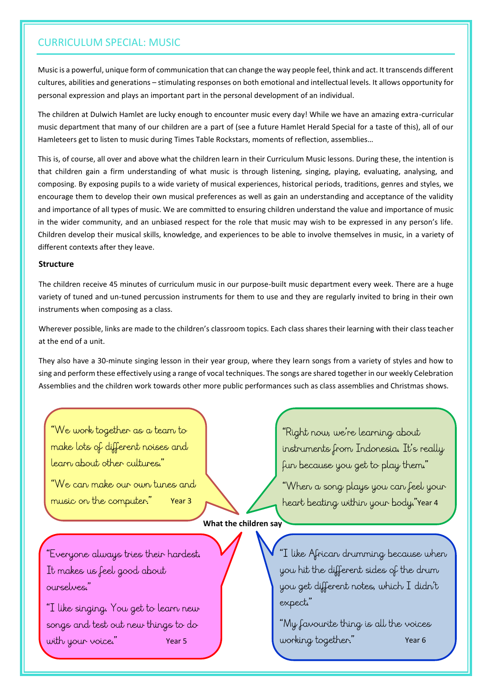# CURRICULUM SPECIAL: MUSIC

Music is a powerful, unique form of communication that can change the way people feel, think and act. It transcends different cultures, abilities and generations – stimulating responses on both emotional and intellectual levels. It allows opportunity for personal expression and plays an important part in the personal development of an individual.

The children at Dulwich Hamlet are lucky enough to encounter music every day! While we have an amazing extra-curricular music department that many of our children are a part of (see a future Hamlet Herald Special for a taste of this), all of our Hamleteers get to listen to music during Times Table Rockstars, moments of reflection, assemblies…

This is, of course, all over and above what the children learn in their Curriculum Music lessons. During these, the intention is that children gain a firm understanding of what music is through listening, singing, playing, evaluating, analysing, and composing. By exposing pupils to a wide variety of musical experiences, historical periods, traditions, genres and styles, we encourage them to develop their own musical preferences as well as gain an understanding and acceptance of the validity and importance of all types of music. We are committed to ensuring children understand the value and importance of music in the wider community, and an unbiased respect for the role that music may wish to be expressed in any person's life. Children develop their musical skills, knowledge, and experiences to be able to involve themselves in music, in a variety of different contexts after they leave.

#### **Structure**

The children receive 45 minutes of curriculum music in our purpose-built music department every week. There are a huge variety of tuned and un-tuned percussion instruments for them to use and they are regularly invited to bring in their own instruments when composing as a class.

Wherever possible, links are made to the children's classroom topics. Each class shares their learning with their class teacher at the end of a unit.

They also have a 30-minute singing lesson in their year group, where they learn songs from a variety of styles and how to sing and perform these effectively using a range of vocal techniques. The songs are shared together in our weekly Celebration Assemblies and the children work towards other more public performances such as class assemblies and Christmas shows.

"We work together as a team to make lots of different noises and learn about other cultures."

"We can make our oun tunes and music on the computer."

instruments from Indonesia. It's really fun because you get to play them."

"Right now, we're learning about

"When a song plays you can feel your Year 3 Meant beating within your body."Year 4

**What the children say**

"Everyone always tries their hardest. It makes us feel good about ourselves."

"I like singing. You get to learn new songs and test out new things to do with your voice."

"I like African drumming because when you hit the different sides of the drum you get different notes, which I didn't expect."

"My favourite thing is all the voices Year 5 Year 6 Working together." Year 6